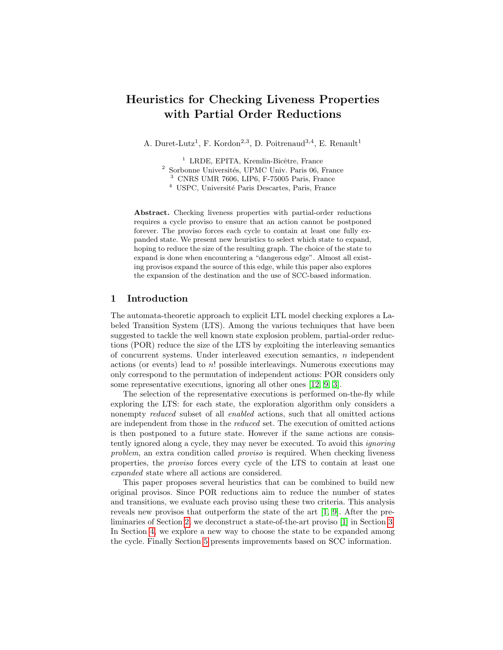# <span id="page-0-0"></span>Heuristics for Checking Liveness Properties with Partial Order Reductions

A. Duret-Lutz<sup>1</sup>, F. Kordon<sup>2,3</sup>, D. Poitrenaud<sup>3,4</sup>, E. Renault<sup>1</sup>

 $1$  LRDE, EPITA, Kremlin-Bicêtre, France  $^2$ Sorbonne Universités, UPMC Univ. Paris 06, France <sup>3</sup> CNRS UMR 7606, LIP6, F-75005 Paris, France

<sup>4</sup> USPC, Université Paris Descartes, Paris, France

Abstract. Checking liveness properties with partial-order reductions requires a cycle proviso to ensure that an action cannot be postponed forever. The proviso forces each cycle to contain at least one fully expanded state. We present new heuristics to select which state to expand, hoping to reduce the size of the resulting graph. The choice of the state to expand is done when encountering a "dangerous edge". Almost all existing provisos expand the source of this edge, while this paper also explores the expansion of the destination and the use of SCC-based information.

#### 1 Introduction

The automata-theoretic approach to explicit LTL model checking explores a Labeled Transition System (LTS). Among the various techniques that have been suggested to tackle the well known state explosion problem, partial-order reductions (POR) reduce the size of the LTS by exploiting the interleaving semantics of concurrent systems. Under interleaved execution semantics,  $n$  independent actions (or events) lead to  $n!$  possible interleavings. Numerous executions may only correspond to the permutation of independent actions: POR considers only some representative executions, ignoring all other ones [\[12,](#page-15-0) [9,](#page-15-1) [3\]](#page-15-2).

The selection of the representative executions is performed on-the-fly while exploring the LTS: for each state, the exploration algorithm only considers a nonempty reduced subset of all enabled actions, such that all omitted actions are independent from those in the reduced set. The execution of omitted actions is then postponed to a future state. However if the same actions are consistently ignored along a cycle, they may never be executed. To avoid this ignoring problem, an extra condition called proviso is required. When checking liveness properties, the proviso forces every cycle of the LTS to contain at least one expanded state where all actions are considered.

This paper proposes several heuristics that can be combined to build new original provisos. Since POR reductions aim to reduce the number of states and transitions, we evaluate each proviso using these two criteria. This analysis reveals new provisos that outperform the state of the art [\[1,](#page-15-3) [9\]](#page-15-1). After the preliminaries of Section [2,](#page-1-0) we deconstruct a state-of-the-art proviso [\[1\]](#page-15-3) in Section [3.](#page-1-1) In Section [4,](#page-7-0) we explore a new way to choose the state to be expanded among the cycle. Finally Section [5](#page-11-0) presents improvements based on SCC information.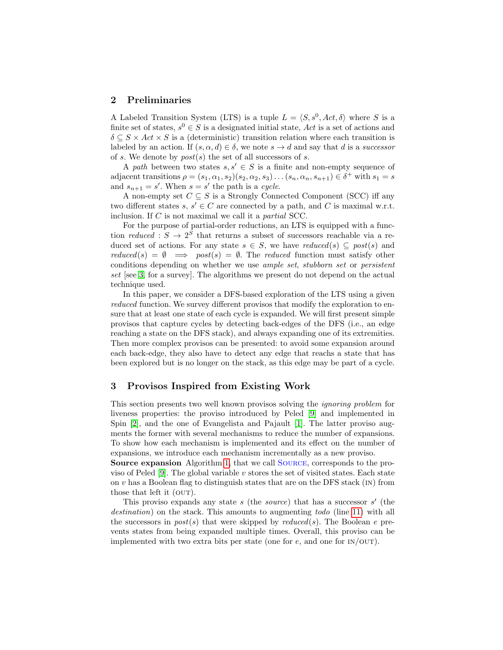## <span id="page-1-0"></span>2 Preliminaries

A Labeled Transition System (LTS) is a tuple  $L = \langle S, s^0, Act, \delta \rangle$  where S is a finite set of states,  $s^0 \in S$  is a designated initial state, Act is a set of actions and  $\delta \subseteq S \times Act \times S$  is a (deterministic) transition relation where each transition is labeled by an action. If  $(s, \alpha, d) \in \delta$ , we note  $s \to d$  and say that d is a successor of s. We denote by  $post(s)$  the set of all successors of s.

A path between two states  $s, s' \in S$  is a finite and non-empty sequence of adjacent transitions  $\rho = (s_1, \alpha_1, s_2)(s_2, \alpha_2, s_3) \dots (s_n, \alpha_n, s_{n+1}) \in \delta^+$  with  $s_1 = s$ and  $s_{n+1} = s'$ . When  $s = s'$  the path is a cycle.

A non-empty set  $C \subseteq S$  is a Strongly Connected Component (SCC) iff any two different states s,  $s' \in C$  are connected by a path, and C is maximal w.r.t. inclusion. If C is not maximal we call it a partial SCC.

For the purpose of partial-order reductions, an LTS is equipped with a function *reduced* :  $S \to 2^S$  that returns a subset of successors reachable via a reduced set of actions. For any state  $s \in S$ , we have reduced(s)  $\subset$  post(s) and reduced(s) =  $\emptyset$   $\implies$  post(s) =  $\emptyset$ . The reduced function must satisfy other conditions depending on whether we use ample set, stubborn set or persistent set [see [3,](#page-15-2) for a survey]. The algorithms we present do not depend on the actual technique used.

In this paper, we consider a DFS-based exploration of the LTS using a given reduced function. We survey different provisos that modify the exploration to ensure that at least one state of each cycle is expanded. We will first present simple provisos that capture cycles by detecting back-edges of the DFS (i.e., an edge reaching a state on the DFS stack), and always expanding one of its extremities. Then more complex provisos can be presented: to avoid some expansion around each back-edge, they also have to detect any edge that reachs a state that has been explored but is no longer on the stack, as this edge may be part of a cycle.

### <span id="page-1-1"></span>3 Provisos Inspired from Existing Work

This section presents two well known provisos solving the ignoring problem for liveness properties: the proviso introduced by Peled [\[9\]](#page-15-1) and implemented in Spin [\[2\]](#page-15-4), and the one of Evangelista and Pajault [\[1\]](#page-15-3). The latter proviso augments the former with several mechanisms to reduce the number of expansions. To show how each mechanism is implemented and its effect on the number of expansions, we introduce each mechanism incrementally as a new proviso.

Source expansion Algorithm [1,](#page-2-0) that we call Source, corresponds to the pro-viso of Peled [\[9\]](#page-15-1). The global variable  $v$  stores the set of visited states. Each state on  $v$  has a Boolean flag to distinguish states that are on the DFS stack (IN) from those that left it (OUT).

This proviso expands any state  $s$  (the *source*) that has a successor  $s'$  (the destination) on the stack. This amounts to augmenting todo (line [11\)](#page-2-1) with all the successors in  $post(s)$  that were skipped by reduced(s). The Boolean e prevents states from being expanded multiple times. Overall, this proviso can be implemented with two extra bits per state (one for  $e$ , and one for  $\text{IN}/\text{OUT}$ ).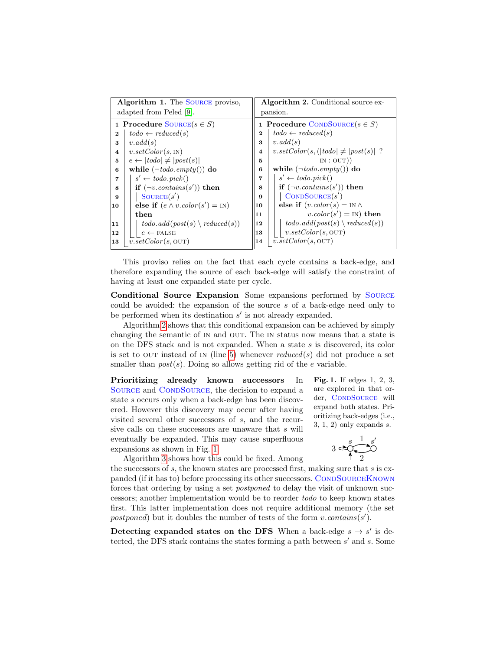<span id="page-2-3"></span>

| <b>Algorithm 1.</b> The SOURCE proviso, |                                                 | <b>Algorithm 2.</b> Conditional source ex- |                                                |  |  |
|-----------------------------------------|-------------------------------------------------|--------------------------------------------|------------------------------------------------|--|--|
| adapted from Peled [9].                 |                                                 | pansion.                                   |                                                |  |  |
| 1 Procedure SOURCE $(s \in S)$          |                                                 | 1 Procedure CONDSOURCE( $s \in S$ )        |                                                |  |  |
| $\mathbf{2}$                            | $todo \leftarrow reduced(s)$                    | $\mathbf{2}$                               | $todo \leftarrow reduced(s)$                   |  |  |
| 3                                       | v.add(s)                                        | 3                                          | v.add(s)                                       |  |  |
| 4                                       | v.setColor(s, IN)                               | $\overline{\mathbf{4}}$                    | $v.setColor(s, ( todo  \neq  post(s)  ?$       |  |  |
| 5                                       | $e \leftarrow  todo  \neq  post(s) $            | 5                                          | IN:OUT)                                        |  |  |
| 6                                       | while $(\neg \textit{todo}.\textit{empty}))$ do | 6                                          | while $(\neg \text{todo.} \text{empty}))$ do   |  |  |
| $\overline{7}$                          | $s' \leftarrow todo.pick()$                     | 7                                          | $s' \leftarrow todo.pick()$                    |  |  |
| 8                                       | if $(\neg v \text{.contains}(s'))$ then         | 8                                          | if $(\neg v \text{.contains}(s'))$ then        |  |  |
| 9                                       | $\text{Source}(s')$                             | 9                                          | $\subset$ CONDSOURCE $(s')$                    |  |  |
| 10                                      | else if $(e \wedge v \cdot color(s') = IN)$     | 10                                         | else if $(v \cdot color(s) = \text{IN} \wedge$ |  |  |
|                                         | then                                            | 11                                         | $v \cdot color(s') = \text{IN})$ then          |  |  |
| 11                                      | $todo.add(post(s) \setminus reduced(s))$        | $ 12\rangle$                               | $todo.add(post(s) \setminus reduced(s))$       |  |  |
| 12                                      | $e \leftarrow$ FALSE                            | 13                                         | $v.setColor(s, \text{OUT})$                    |  |  |
| 13                                      | $v.setColor(s, \text{OUT})$                     | 14                                         | $v.setColor(s, \text{OUT})$                    |  |  |

<span id="page-2-1"></span><span id="page-2-0"></span>This proviso relies on the fact that each cycle contains a back-edge, and therefore expanding the source of each back-edge will satisfy the constraint of having at least one expanded state per cycle.

Conditional Source Expansion Some expansions performed by Source could be avoided: the expansion of the source s of a back-edge need only to be performed when its destination  $s'$  is not already expanded.

Algorithm [2](#page-2-2) shows that this conditional expansion can be achieved by simply changing the semantic of IN and OUT. The IN status now means that a state is on the DFS stack and is not expanded. When a state s is discovered, its color is set to OUT instead of IN (line [5\)](#page-2-3) whenever  $reduced(s)$  did not produce a set smaller than  $post(s)$ . Doing so allows getting rid of the e variable.

Prioritizing already known successors In SOURCE and CONDSOURCE, the decision to expand a state s occurs only when a back-edge has been discovered. However this discovery may occur after having visited several other successors of s, and the recursive calls on these successors are unaware that s will eventually be expanded. This may cause superfluous expansions as shown in Fig. [1.](#page-2-4)

<span id="page-2-4"></span><span id="page-2-2"></span>Fig. 1. If edges 1, 2, 3, are explored in that order, CONDSOURCE will expand both states. Prioritizing back-edges (i.e., 3, 1, 2) only expands s.

$$
3 \bigoplus_{j=2}^s \bigoplus_2^{s-j}
$$

Algorithm [3](#page-3-0) shows how this could be fixed. Among

the successors of  $s$ , the known states are processed first, making sure that  $s$  is expanded (if it has to) before processing its other successors. CONDSOURCEKNOWN forces that ordering by using a set postponed to delay the visit of unknown successors; another implementation would be to reorder todo to keep known states first. This latter implementation does not require additional memory (the set postponed) but it doubles the number of tests of the form  $v$ . *contains*(s').

Detecting expanded states on the DFS When a back-edge  $s \to s'$  is detected, the DFS stack contains the states forming a path between  $s'$  and  $s$ . Some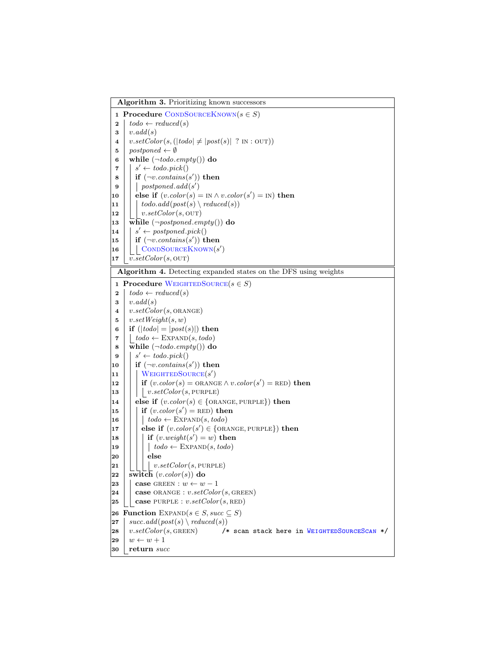<span id="page-3-3"></span><span id="page-3-2"></span><span id="page-3-1"></span><span id="page-3-0"></span>

|             | Algorithm 3. Prioritizing known successors                                              |
|-------------|-----------------------------------------------------------------------------------------|
|             | 1 Procedure CONDSOURCEKNOWN $(s \in S)$                                                 |
| 2           | $todo \leftarrow reduced(s)$                                                            |
| 3           | v.add(s)                                                                                |
| 4           | $v.setColor(s, ( todo  \neq  post(s)  ? \text{IN} : \text{OUT}))$                       |
| 5           | postponed $\leftarrow \emptyset$                                                        |
| 6           | while $(\neg \textit{todo}.\textit{empty}))$ do                                         |
| 7           | $s' \leftarrow todo.pick()$                                                             |
| 8           | if $(\neg v \text{.contains}(s'))$ then                                                 |
| 9           | postponed.add(s')                                                                       |
| 10          | else if $(v \cdot color(s) = \text{IN} \land v \cdot color(s') = \text{IN})$ then       |
| 11          | $todo.add(post(s) \setminus reduced(s))$                                                |
| 12          | $v.setColor(s, \text{OUT})$                                                             |
| 13          | $\overline{\textbf{while}}$ ( $\neg postponed. \textit{empty}()$ ) do                   |
| 14          | $s' \leftarrow postponed.pick()$                                                        |
| 15          | if $(\neg v \text{.contains}(s'))$ then                                                 |
| 16          | CONDSourceKnowN(s')                                                                     |
| 17          | $v.setColor(s, \text{OUT})$                                                             |
|             | Algorithm 4. Detecting expanded states on the DFS using weights                         |
|             | 1 Procedure WEIGHTEDSOURCE( $s \in S$ )                                                 |
| $\mathbf 2$ | $todo \leftarrow reduced(s)$                                                            |
| 3           | v.add(s)                                                                                |
| 4           | $v.setColor(s, \text{ORANGE})$                                                          |
| 5           | v.setWeight(s, w)                                                                       |
| 6           | if $( \text{todo}  =  \text{post}(s) )$ then                                            |
| 7           | $todo \leftarrow$ EXPAND $(s, todo)$                                                    |
| 8           | while $(\neg \textit{todo}.\textit{empty}))$ do                                         |
| 9           | $s' \leftarrow todo.pick()$                                                             |
| 10          | if $(\neg v \text{.contains}(s'))$ then                                                 |
| 11          | WEIGHTEDSOURCE(s')                                                                      |
| 12          | if $(v.\mathit{color}(s) = \text{ORANGE} \land v.\mathit{color}(s') = \text{RED})$ then |
| 13          | $\mid v.setColor(s, \text{PURPLE})$                                                     |
| 14          | else if $(v.\mathit{color}(s) \in \{\texttt{ORANGE}, \texttt{PURPLE}\})$ then           |
| 15          | if $(v.\mathit{color}(s') = \text{RED})$ then                                           |
| 16          | $todo \leftarrow$ EXPAND $(s, todo)$                                                    |
| 17          | else if $(v.\mathit{color}(s') \in \{\texttt{ORANGE}, \texttt{PURPLE}\})$ then          |
| 18          | if $(v.weight(s') = w)$ then                                                            |
| 19          | $todo \leftarrow$ EXPAND $(s, todo)$                                                    |
| 20          | else                                                                                    |
| 21          | $\label{eq:main} \bigsqcup \bigsqcup \bigsqcup v.setColor(s, \textsc{purple})$          |
| 22          | switch $(v.\mathit{color}(s))$ do                                                       |
| 23          | case GREEN : $w \leftarrow w - 1$                                                       |
| 24          | case ORANGE : $v.setColor(s, \text{GREEN})$                                             |
| 25          | case PURPLE : $v.setColor(s, RED)$                                                      |
| 26          | <b>Function</b> EXPAND $(s \in S, succ \subseteq S)$                                    |
| 27          | $succ.add(post(s) \setminus reduced(s))$                                                |
| 28          | $v.setColor(s, \text{GREEN})$<br>/* scan stack here in WEIGHTEDSOURCESCAN */            |
| 29          | $w \leftarrow w + 1$                                                                    |
| 30          | return succ                                                                             |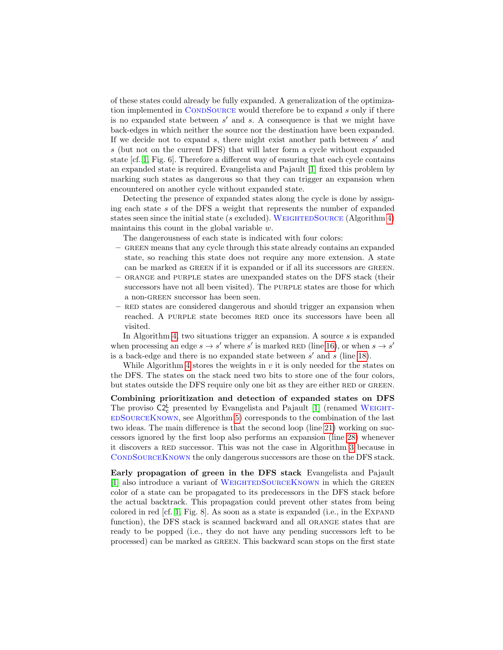of these states could already be fully expanded. A generalization of the optimization implemented in CONDSOURCE would therefore be to expand s only if there is no expanded state between  $s'$  and  $s$ . A consequence is that we might have back-edges in which neither the source nor the destination have been expanded. If we decide not to expand  $s$ , there might exist another path between  $s'$  and s (but not on the current DFS) that will later form a cycle without expanded state [cf. [1,](#page-15-3) Fig. 6]. Therefore a different way of ensuring that each cycle contains an expanded state is required. Evangelista and Pajault [\[1\]](#page-15-3) fixed this problem by marking such states as dangerous so that they can trigger an expansion when encountered on another cycle without expanded state.

Detecting the presence of expanded states along the cycle is done by assigning each state s of the DFS a weight that represents the number of expanded states seen since the initial state (s excluded). WEIGHTEDSOURCE (Algorithm [4\)](#page-3-1) maintains this count in the global variable  $w$ .

The dangerousness of each state is indicated with four colors:

- green means that any cycle through this state already contains an expanded state, so reaching this state does not require any more extension. A state can be marked as GREEN if it is expanded or if all its successors are GREEN.
- orange and purple states are unexpanded states on the DFS stack (their successors have not all been visited). The purple states are those for which a non-green successor has been seen.
- RED states are considered dangerous and should trigger an expansion when reached. A PURPLE state becomes RED once its successors have been all visited.

In Algorithm [4,](#page-3-1) two situations trigger an expansion. A source s is expanded when processing an edge  $s \to s'$  where s' is marked RED (line [16\)](#page-3-2), or when  $s \to s'$ is a back-edge and there is no expanded state between  $s'$  and  $s$  (line [18\)](#page-3-3).

While Algorithm [4](#page-3-1) stores the weights in  $v$  it is only needed for the states on the DFS. The states on the stack need two bits to store one of the four colors, but states outside the DFS require only one bit as they are either RED or GREEN.

Combining prioritization and detection of expanded states on DFS The proviso  $C2_c^L$  presented by Evangelista and Pajault [\[1\]](#page-15-3) (renamed WEIGHT- $EDSOURCEKNOWN$ , see Algorithm [5\)](#page-5-0) corresponds to the combination of the last two ideas. The main difference is that the second loop (line [21\)](#page-5-1) working on successors ignored by the first loop also performs an expansion (line [28\)](#page-5-2) whenever it discovers a RED successor. This was not the case in Algorithm [3](#page-3-0) because in CONDSOURCEKNOWN the only dangerous successors are those on the DFS stack.

Early propagation of green in the DFS stack Evangelista and Pajault [\[1\]](#page-15-3) also introduce a variant of WEIGHTEDSOURCEKNOWN in which the GREEN color of a state can be propagated to its predecessors in the DFS stack before the actual backtrack. This propagation could prevent other states from being colored in red [cf. [1,](#page-15-3) Fig. 8]. As soon as a state is expanded (i.e., in the Expand function), the DFS stack is scanned backward and all orange states that are ready to be popped (i.e., they do not have any pending successors left to be processed) can be marked as green. This backward scan stops on the first state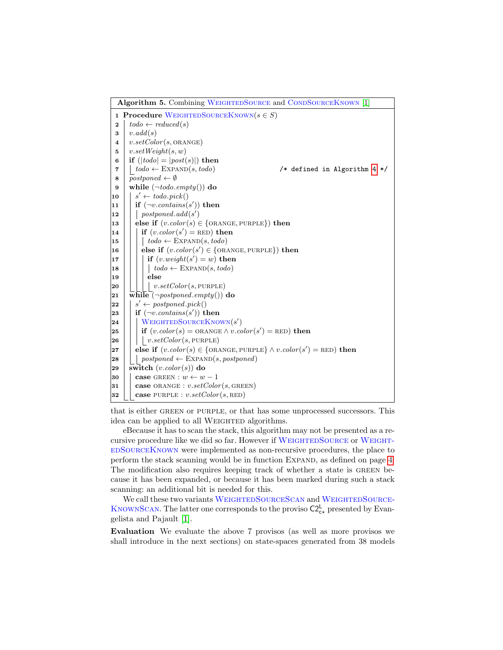|                    | Algorithm 5. Combining WEIGHTEDSOURCE and CONDSOURCEKNOWN [1]                                |  |  |  |  |  |  |  |
|--------------------|----------------------------------------------------------------------------------------------|--|--|--|--|--|--|--|
|                    | 1 Procedure WEIGHTEDSOURCEKNOWN( $s \in S$ )                                                 |  |  |  |  |  |  |  |
| $\mathbf 2$        | $todo \leftarrow reduced(s)$                                                                 |  |  |  |  |  |  |  |
| 3                  | v.add(s)                                                                                     |  |  |  |  |  |  |  |
| $\overline{\bf 4}$ | $v.setColor(s, \text{ORANGE})$                                                               |  |  |  |  |  |  |  |
| 5                  | v.setWeight(s, w)                                                                            |  |  |  |  |  |  |  |
| 6                  | if $( \text{todo}  =  \text{post}(s) )$ then                                                 |  |  |  |  |  |  |  |
| 7                  | $\mid$ todo $\leftarrow$ EXPAND $(s, todo)$<br>/* defined in Algorithm 4 $*/$                |  |  |  |  |  |  |  |
| 8                  | $postponed \leftarrow \emptyset$                                                             |  |  |  |  |  |  |  |
| 9                  | while $(\neg todo . empty())$ do                                                             |  |  |  |  |  |  |  |
| 10                 | $s' \leftarrow todo.pick()$                                                                  |  |  |  |  |  |  |  |
| 11                 | if $(\neg v \text{. contains}(s'))$ then                                                     |  |  |  |  |  |  |  |
| 12                 | postponed.add(s')                                                                            |  |  |  |  |  |  |  |
| 13                 | else if $(v.\mathit{color}(s) \in \{\texttt{ORANGE}, \texttt{PURPLE}\})$ then                |  |  |  |  |  |  |  |
| 14                 | if $(v.\mathit{color}(s') = \text{RED})$ then                                                |  |  |  |  |  |  |  |
| 15                 | $todo \leftarrow$ EXPAND $(s, todo)$                                                         |  |  |  |  |  |  |  |
| 16                 | else if $(v.\text{color}(s') \in \{\text{ORANGE}, \text{PURPLE}\})$ then                     |  |  |  |  |  |  |  |
| 17                 | if $(v.weight(s') = w)$ then                                                                 |  |  |  |  |  |  |  |
| 18                 | $todo \leftarrow$ EXPAND $(s, todo)$                                                         |  |  |  |  |  |  |  |
| 19                 | else                                                                                         |  |  |  |  |  |  |  |
| 20                 | v.setColor(s, PURPLE)                                                                        |  |  |  |  |  |  |  |
| 21                 | while $(\neg postponed. \textit{empty}))$ do                                                 |  |  |  |  |  |  |  |
| 22                 | $s' \leftarrow postponed.pick()$                                                             |  |  |  |  |  |  |  |
| 23                 | if $(\neg v \text{. contains}(s'))$ then                                                     |  |  |  |  |  |  |  |
| 24                 | WEIGHTEDSOURCEKNOWN $(s')$                                                                   |  |  |  |  |  |  |  |
| 25                 | if $(v.\mathit{color}(s) = \text{ORANGE} \land v.\mathit{color}(s') = \text{RED})$ then      |  |  |  |  |  |  |  |
| 26                 | $\mid v.setColor(s, \text{PURPLE})$                                                          |  |  |  |  |  |  |  |
| 27                 | else if $(v.\mathit{color}(s) \in \{ORANGE, PURPLE\} \land v.\mathit{color}(s') = RED)$ then |  |  |  |  |  |  |  |
| 28                 | $postponed \leftarrow \text{EXPAND}(s, postponed)$                                           |  |  |  |  |  |  |  |
| 29                 | switch $(v.\mathit{color}(s))$ do                                                            |  |  |  |  |  |  |  |
| 30                 | case GREEN : $w \leftarrow w - 1$                                                            |  |  |  |  |  |  |  |
| 31                 | case ORANGE : $v.setColor(s, \text{GREEN})$                                                  |  |  |  |  |  |  |  |
| 32                 | <b>case</b> PURPLE : $v.setColor(s, RED)$                                                    |  |  |  |  |  |  |  |

<span id="page-5-2"></span><span id="page-5-1"></span><span id="page-5-0"></span>that is either GREEN or PURPLE, or that has some unprocessed successors. This idea can be applied to all WEIGHTED algorithms.

eBecause it has to scan the stack, this algorithm may not be presented as a recursive procedure like we did so far. However if WEIGHTEDSOURCE or WEIGHTedSourceKnown were implemented as non-recursive procedures, the place to perform the stack scanning would be in function EXPAND, as defined on page [4.](#page-3-1) The modification also requires keeping track of whether a state is green because it has been expanded, or because it has been marked during such a stack scanning: an additional bit is needed for this.

We call these two variants WEIGHTEDSOURCESCAN and WEIGHTEDSOURCE-KNOWNSCAN. The latter one corresponds to the proviso  $C2^{\mathsf{L}}_{\mathsf{c}\star}$  presented by Evangelista and Pajault [\[1\]](#page-15-3).

<span id="page-5-3"></span>Evaluation We evaluate the above 7 provisos (as well as more provisos we shall introduce in the next sections) on state-spaces generated from 38 models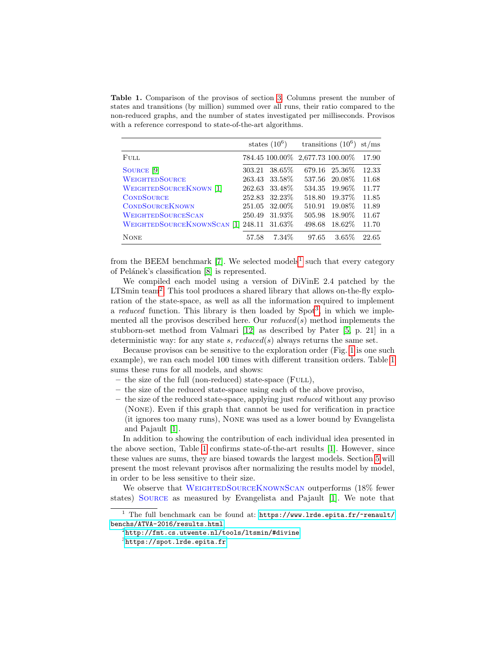<span id="page-6-0"></span>Table 1. Comparison of the provisos of section [3.](#page-1-1) Columns present the number of states and transitions (by million) summed over all runs, their ratio compared to the non-reduced graphs, and the number of states investigated per milliseconds. Provisos with a reference correspond to state-of-the-art algorithms.

|                                        | states $(10^6)$ |                                 | transitions $(10^6)$ | $\mathrm{st}/\mathrm{ms}$ |       |
|----------------------------------------|-----------------|---------------------------------|----------------------|---------------------------|-------|
| FULL.                                  |                 | 784.45 100.00% 2,677.73 100.00% |                      |                           | 17.90 |
| SOURCE <sup>[9]</sup>                  | 303.21          | 38.65%                          | 679.16               | 25.36\%                   | 12.33 |
| <b>WEIGHTEDSOURCE</b>                  | 263.43          | 33.58%                          | 537.56               | 20.08\%                   | 11.68 |
| <b>WEIGHTEDSOURCEKNOWN</b> [1]         | 262.63          | 33.48\%                         | 534.35               | 19.96%                    | 11.77 |
| <b>CONDSOURCE</b>                      | 252.83          | 32.23\%                         | 518.80               | 19.37\%                   | 11.85 |
| <b>CONDSOURCEKNOWN</b>                 | 251.05          | 32.00%                          | 510.91               | 19.08\%                   | 11.89 |
| <b>WEIGHTEDSOURCESCAN</b>              | 250.49          | 31.93%                          | 505.98               | 18.90%                    | 11.67 |
| WEIGHTEDSOURCEKNOWNSCAN <sup>[1]</sup> | 248.11          | 31.63%                          | 498.68               | 18.62\%                   | 11.70 |
| <b>NONE</b>                            | 57.58           | 7.34\%                          | 97.65                | $3.65\%$                  | 22.65 |

from the BEEM benchmark  $[7]$ . We selected models<sup>[1](#page-0-0)</sup> such that every category of Pelánek's classification  $[8]$  is represented.

We compiled each model using a version of DiVinE 2.4 patched by the LTSmin team<sup>[2](#page-0-0)</sup>. This tool produces a shared library that allows on-the-fly exploration of the state-space, as well as all the information required to implement a reduced function. This library is then loaded by Spot<sup>[3](#page-0-0)</sup>, in which we implemented all the provisos described here. Our  $reduced(s)$  method implements the stubborn-set method from Valmari [\[12\]](#page-15-0) as described by Pater [\[5,](#page-15-7) p. 21] in a deterministic way: for any state s, reduced(s) always returns the same set.

Because provisos can be sensitive to the exploration order (Fig. [1](#page-2-4) is one such example), we ran each model 100 times with different transition orders. Table [1](#page-6-0) sums these runs for all models, and shows:

- the size of the full (non-reduced) state-space (FULL),
- the size of the reduced state-space using each of the above proviso,
- the size of the reduced state-space, applying just reduced without any proviso (None). Even if this graph that cannot be used for verification in practice (it ignores too many runs), None was used as a lower bound by Evangelista and Pajault [\[1\]](#page-15-3).

In addition to showing the contribution of each individual idea presented in the above section, Table [1](#page-6-0) confirms state-of-the-art results [\[1\]](#page-15-3). However, since these values are sums, they are biased towards the largest models. Section [5](#page-11-0) will present the most relevant provisos after normalizing the results model by model, in order to be less sensitive to their size.

We observe that WEIGHTEDSOURCEKNOWNSCAN outperforms (18% fewer states) Source as measured by Evangelista and Pajault [\[1\]](#page-15-3). We note that

<sup>&</sup>lt;sup>1</sup> The full benchmark can be found at: [https://www.lrde.epita.fr/~renault/](https://www.lrde.epita.fr/~renault/benchs/ATVA-2016/results.html) [benchs/ATVA-2016/results.html](https://www.lrde.epita.fr/~renault/benchs/ATVA-2016/results.html)

 $^2$ <http://fmt.cs.utwente.nl/tools/ltsmin/#divine>

 $^3$ <https://spot.lrde.epita.fr>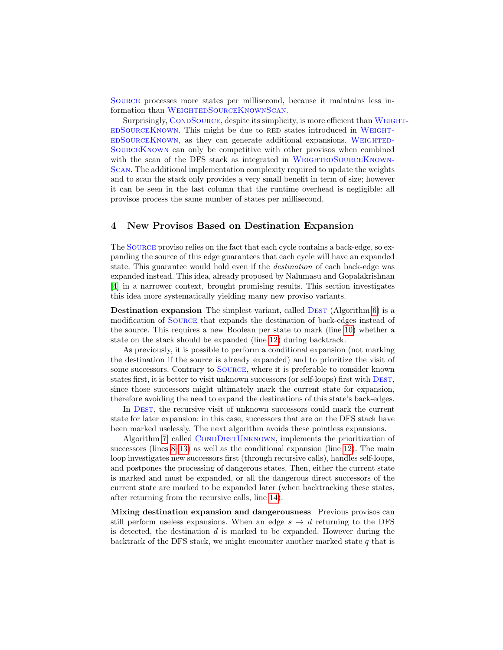Source processes more states per millisecond, because it maintains less information than WEIGHTEDSOURCEKNOWNSCAN.

Surprisingly, CONDSOURCE, despite its simplicity, is more efficient than WEIGHT-EDSOURCEKNOWN. This might be due to RED states introduced in WEIGHT-EDSOURCEKNOWN, as they can generate additional expansions. WEIGHTED-SourceKnown can only be competitive with other provisos when combined with the scan of the DFS stack as integrated in WEIGHTEDSOURCEKNOWN-Scan. The additional implementation complexity required to update the weights and to scan the stack only provides a very small benefit in term of size; however it can be seen in the last column that the runtime overhead is negligible: all provisos process the same number of states per millisecond.

# <span id="page-7-0"></span>4 New Provisos Based on Destination Expansion

The Source proviso relies on the fact that each cycle contains a back-edge, so expanding the source of this edge guarantees that each cycle will have an expanded state. This guarantee would hold even if the destination of each back-edge was expanded instead. This idea, already proposed by Nalumasu and Gopalakrishnan [\[4\]](#page-15-8) in a narrower context, brought promising results. This section investigates this idea more systematically yielding many new proviso variants.

**Destination expansion** The simplest variant, called DEST (Algorithm [6\)](#page-8-0) is a modification of Source that expands the destination of back-edges instead of the source. This requires a new Boolean per state to mark (line [10\)](#page-8-1) whether a state on the stack should be expanded (line [12\)](#page-8-2) during backtrack.

As previously, it is possible to perform a conditional expansion (not marking the destination if the source is already expanded) and to prioritize the visit of some successors. Contrary to Source, where it is preferable to consider known states first, it is better to visit unknown successors (or self-loops) first with DEST, since those successors might ultimately mark the current state for expansion, therefore avoiding the need to expand the destinations of this state's back-edges.

In DEST, the recursive visit of unknown successors could mark the current state for later expansion: in this case, successors that are on the DFS stack have been marked uselessly. The next algorithm avoids these pointless expansions.

Algorithm [7,](#page-8-3) called CONDDESTUNKNOWN, implements the prioritization of successors (lines [8](#page-8-4)[–13\)](#page-8-5) as well as the conditional expansion (line [12\)](#page-8-6). The main loop investigates new successors first (through recursive calls), handles self-loops, and postpones the processing of dangerous states. Then, either the current state is marked and must be expanded, or all the dangerous direct successors of the current state are marked to be expanded later (when backtracking these states, after returning from the recursive calls, line [14\)](#page-8-7).

Mixing destination expansion and dangerousness Previous provisos can still perform useless expansions. When an edge  $s \to d$  returning to the DFS is detected, the destination  $d$  is marked to be expanded. However during the backtrack of the DFS stack, we might encounter another marked state  $q$  that is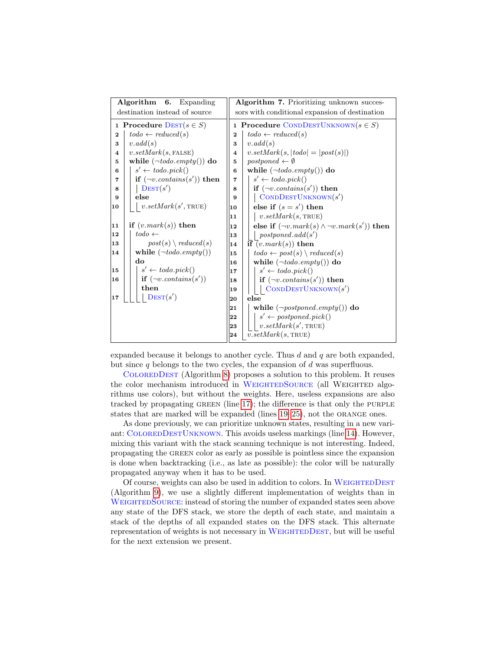<span id="page-8-6"></span><span id="page-8-4"></span><span id="page-8-1"></span>

| Algorithm 6. Expanding<br>destination instead of source |                                                                                                                                                                                          | Algorithm 7. Prioritizing unknown succes-<br>sors with conditional expansion of destination                                                                                                                                                                                |                                                                                                                                                                                                          |  |
|---------------------------------------------------------|------------------------------------------------------------------------------------------------------------------------------------------------------------------------------------------|----------------------------------------------------------------------------------------------------------------------------------------------------------------------------------------------------------------------------------------------------------------------------|----------------------------------------------------------------------------------------------------------------------------------------------------------------------------------------------------------|--|
| $\mathbf{2}$<br>3<br>$\overline{\mathbf{4}}$<br>5<br>6  | 1 Procedure $\text{DEST}(s \in S)$<br>$todo \leftarrow reduced(s)$<br>v.add(s)<br>v.setMark(s, FALSE)<br>while $(\neg \textit{todo}.\textit{empty}())$ do<br>$s' \leftarrow todo.pick()$ | 1 Procedure CONDDESTUNKNOWN( $s \in S$ )<br>$todo \leftarrow reduced(s)$<br>$\mathbf 2$<br>v.add(s)<br>3<br>$v.setMark(s,  todo  =  post(s) )$<br>$\overline{\mathbf{4}}$<br>postponed $\leftarrow \emptyset$<br>5<br>while $(\neg \textit{todo}.\textit{empty}))$ do<br>6 |                                                                                                                                                                                                          |  |
| 7<br>8<br>9<br>10                                       | if $(\neg v \text{.contains}(s'))$ then<br>$\text{Dest}(s')$<br>else<br>$v.setMark(s',\text{TRUE})$                                                                                      | 7<br>8<br>9<br>10<br>11                                                                                                                                                                                                                                                    | $s' \leftarrow todo.pick()$<br>if $(\neg v \text{.contains}(s'))$ then<br>$\vert$ CONDDESTUNKNOWN $(s')$<br>else if $(s = s')$ then<br>$v.setMark(s, \text{TRUE})$                                       |  |
| 11<br>$ 12\rangle$<br>13<br>14                          | if $(v.maxk(s))$ then<br>$todo \leftarrow$<br>$post(s) \setminus reduced(s)$<br>while $(\neg \textit{todo}.\textit{empty}))$<br>do                                                       | 12<br>13<br>14<br>15<br>16                                                                                                                                                                                                                                                 | else if $(\neg v.maxk(s) \land \neg v.maxk(s'))$ then<br>postponed.add(s')<br>if $(v.maxk(s))$ then<br>$todo \leftarrow post(s) \setminus reduced(s)$<br>while $(\neg \textit{todo}.\textit{empty}))$ do |  |
| 15<br>16<br>17                                          | $s' \leftarrow todo.pick()$<br>if $(\neg v \text{.contains}(s'))$<br>then<br>$\text{Dest}(s')$                                                                                           | 17<br>18<br>19<br>20                                                                                                                                                                                                                                                       | $s' \leftarrow todo.pick()$<br>if $(\neg v \text{.contains}(s'))$ then<br>$COND$ DESTUNKNOWN $(s')$<br>else                                                                                              |  |
|                                                         |                                                                                                                                                                                          | 21<br>22<br>23<br>24                                                                                                                                                                                                                                                       | while $(\neg postponed.empty())$ do<br>$s' \leftarrow postponed.pick()$<br>$v.setMark(s',\text{TRUE})$<br>$v.\overline{setMark(s, \text{TRUE})}$                                                         |  |

<span id="page-8-7"></span><span id="page-8-5"></span><span id="page-8-3"></span><span id="page-8-2"></span><span id="page-8-0"></span>expanded because it belongs to another cycle. Thus  $d$  and  $q$  are both expanded, but since  $q$  belongs to the two cycles, the expansion of  $d$  was superfluous.

COLOREDDEST (Algorithm [8\)](#page-9-0) proposes a solution to this problem. It reuses the color mechanism introduced in WEIGHTEDSOURCE (all WEIGHTED algorithms use colors), but without the weights. Here, useless expansions are also tracked by propagating GREEN (line [17\)](#page-9-1); the difference is that only the PURPLE states that are marked will be expanded (lines [19](#page-9-2)[–25\)](#page-9-3), not the orange ones.

As done previously, we can prioritize unknown states, resulting in a new vari-ant: COLOREDDESTUNKNOWN. This avoids useless markings (line [14\)](#page-9-4). However, mixing this variant with the stack scanning technique is not interesting. Indeed, propagating the green color as early as possible is pointless since the expansion is done when backtracking (i.e., as late as possible): the color will be naturally propagated anyway when it has to be used.

Of course, weights can also be used in addition to colors. In WEIGHTEDDEST (Algorithm [9\)](#page-10-0), we use a slightly different implementation of weights than in WEIGHTEDSOURCE: instead of storing the number of expanded states seen above any state of the DFS stack, we store the depth of each state, and maintain a stack of the depths of all expanded states on the DFS stack. This alternate representation of weights is not necessary in WEIGHTEDDEST, but will be useful for the next extension we present.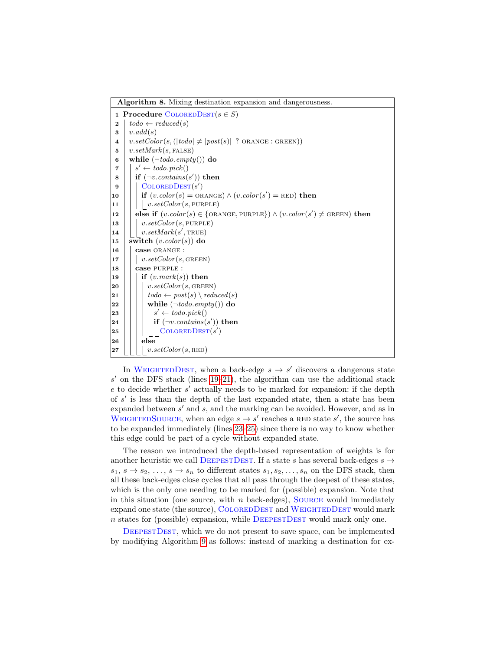<span id="page-9-4"></span>

|              | Algorithm 8. Mixing destination expansion and dangerousness.                                                              |  |  |  |  |
|--------------|---------------------------------------------------------------------------------------------------------------------------|--|--|--|--|
|              | 1 Procedure COLOREDDEST( $s \in S$ )                                                                                      |  |  |  |  |
| $\mathbf{2}$ | $todo \leftarrow reduced(s)$                                                                                              |  |  |  |  |
| 3            | v.add(s)                                                                                                                  |  |  |  |  |
| 4            | $v.setColor(s, ( todo  \neq  post(s)  ? \text{ ORANGE : GREEN}))$                                                         |  |  |  |  |
| 5            | v.setMark(s, FALSE)                                                                                                       |  |  |  |  |
| 6            | while $(\neg \textit{todo}.\textit{empty}))$ do                                                                           |  |  |  |  |
| 7            | $s' \leftarrow todo.pick()$                                                                                               |  |  |  |  |
| 8            | if $(\neg v \text{.contains}(s'))$ then                                                                                   |  |  |  |  |
| 9            | $\text{COLOREDDEF}(s')$                                                                                                   |  |  |  |  |
| 10           | if $(v.\mathit{color}(s) = \text{ORANGE}) \wedge (v.\mathit{color}(s') = \text{RED})$ then                                |  |  |  |  |
| 11           | $\mid v.setColor(s, \text{PURPLE})$                                                                                       |  |  |  |  |
| 12           | else if $(v.\mathit{color}(s) \in \{\text{ORANGE}, \text{PURPLE}\}) \wedge (v.\mathit{color}(s') \neq \text{GREEN})$ then |  |  |  |  |
| 13           | $v.setColor(s, \text{PURPLE})$                                                                                            |  |  |  |  |
| 14           | $v.setMark(s',\text{TRUE})$                                                                                               |  |  |  |  |
| 15           | switch $(v.\mathit{color}(s))$ do                                                                                         |  |  |  |  |
| 16           | case ORANGE :                                                                                                             |  |  |  |  |
| 17           | $v.setColor(s, \text{GREEN})$                                                                                             |  |  |  |  |
| 18           | case PURPLE :                                                                                                             |  |  |  |  |
| 19           | if $(v.maxk(s))$ then                                                                                                     |  |  |  |  |
| 20           | $v.setColor(s, \text{GREEN})$                                                                                             |  |  |  |  |
| 21           | $todo \leftarrow post(s) \setminus reduced(s)$                                                                            |  |  |  |  |
| 22           | while $(\neg \textit{todo}.\textit{empty}))$ do                                                                           |  |  |  |  |
| 23           | $s' \leftarrow todo.pick()$                                                                                               |  |  |  |  |
| 24           | if $(\neg v \text{.contains}(s'))$ then                                                                                   |  |  |  |  |
| 25           | $\big\vert$ COLORED DEST $(s')$                                                                                           |  |  |  |  |
| 26           | else                                                                                                                      |  |  |  |  |
| 27           | v.setColor(s, RED)                                                                                                        |  |  |  |  |

<span id="page-9-3"></span><span id="page-9-2"></span><span id="page-9-1"></span><span id="page-9-0"></span>In WEIGHTEDDEST, when a back-edge  $s \to s'$  discovers a dangerous state  $s'$  on the DFS stack (lines [19–](#page-10-1)[21\)](#page-10-2), the algorithm can use the additional stack  $e$  to decide whether  $s'$  actually needs to be marked for expansion: if the depth of s' is less than the depth of the last expanded state, then a state has been expanded between  $s'$  and  $s$ , and the marking can be avoided. However, and as in WEIGHTEDSOURCE, when an edge  $s \to s'$  reaches a RED state s', the source has to be expanded immediately (lines [23–](#page-10-3)[25\)](#page-10-4) since there is no way to know whether this edge could be part of a cycle without expanded state.

The reason we introduced the depth-based representation of weights is for another heuristic we call DEEPESTDEST. If a state s has several back-edges  $s \rightarrow$  $s_1, s \rightarrow s_2, \ldots, s \rightarrow s_n$  to different states  $s_1, s_2, \ldots, s_n$  on the DFS stack, then all these back-edges close cycles that all pass through the deepest of these states, which is the only one needing to be marked for (possible) expansion. Note that in this situation (one source, with  $n$  back-edges), SOURCE would immediately expand one state (the source), COLOREDDEST and WEIGHTEDDEST would mark  $n$  states for (possible) expansion, while  $\overline{\text{DEEPESTDIST}}$  would mark only one.

DEEPESTDEST, which we do not present to save space, can be implemented by modifying Algorithm [9](#page-10-0) as follows: instead of marking a destination for ex-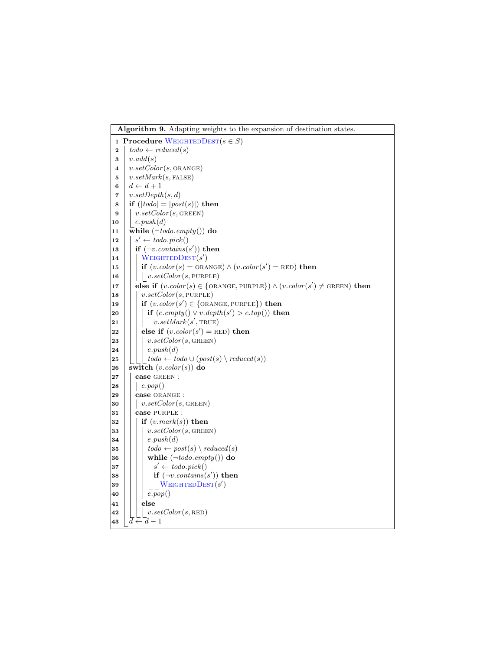<span id="page-10-5"></span><span id="page-10-4"></span><span id="page-10-3"></span><span id="page-10-2"></span><span id="page-10-1"></span><span id="page-10-0"></span>

|                | Algorithm 9. Adapting weights to the expansion of destination states.                                   |
|----------------|---------------------------------------------------------------------------------------------------------|
| $\mathbf{1}$   | <b>Procedure WEIGHTEDDEST</b> $(s \in S)$                                                               |
| $\overline{2}$ | $todo \leftarrow reduced(s)$                                                                            |
| 3              | v.add(s)                                                                                                |
| 4              | $v.setColor(s, \text{ORANGE})$                                                                          |
| 5              | v.setMark(s, FALSE)                                                                                     |
| 6              | $d \leftarrow d+1$                                                                                      |
| 7              | v.setDepth(s,d)                                                                                         |
| 8              | if $( \text{todo}  =  \text{post}(s) )$ then                                                            |
| 9              | $v.setColor(s, \text{GREEN})$                                                                           |
| 10             | e.push(d)                                                                                               |
| 11             | while $(\neg \textit{todo}.\textit{empty}))$ do                                                         |
| 12             | $s' \leftarrow todo.pick()$                                                                             |
| 13             | if $(\neg v \text{.contains}(s'))$ then                                                                 |
| 14             | WEIGHTEDDEST(s')                                                                                        |
| 15             | if $(v.\mathit{color}(s) = \text{ORANGE}) \wedge (v.\mathit{color}(s') = \text{RED})$ then              |
| 16             | $v.setColor(s, \text{PURPLE})$                                                                          |
| 17             | else if $(v.\text{color}(s) \in \{ORANGE, PURPLE\}) \wedge (v.\text{color}(s') \neq \text{GREEN})$ then |
| 18             | $v.setColor(s, \text{PURPLE})$                                                                          |
| 19             | if $(v.\mathit{color}(s') \in \{\texttt{ORANGE}, \texttt{PURPLE}\})$ then                               |
| 20             | if $(e.empty() \vee v.depth(s') > e.top())$ then                                                        |
| 21             | $v.setMark(s',\text{TRUE})$                                                                             |
| 22             | else if $(v.\mathit{color}(s') = \text{RED})$ then                                                      |
| 23             | $v.setColor(s, \text{GREEN})$                                                                           |
| 24             | e.push(d)                                                                                               |
| 25             | $todo \leftarrow todo \cup (post(s) \setminus reduced(s))$                                              |
| 26             | switch $(v.\mathit{color}(s))$ do                                                                       |
| 27             | case GREEN :                                                                                            |
| 28             | e.pop()                                                                                                 |
| 29             | case ORANGE :                                                                                           |
| 30             | $v.setColor(s, \text{GREEN})$                                                                           |
| 31             | case PURPLE :                                                                                           |
| 32             | if $(v.\text{mark}(s))$ then                                                                            |
| 33             | $v.setColor(s, \text{GREEN})$                                                                           |
| 34             | e.push(d)                                                                                               |
| 35             | $todo \leftarrow post(s) \setminus reduced(s)$                                                          |
| 36             | while $(\neg \textit{todo}.\textit{empty}))$ do<br>$s' \leftarrow todo.pick()$                          |
| $ 37\>$        | if $(\neg v \text{.contains}(s'))$ then                                                                 |
| 38             | WEIGHTEDDEST(s')                                                                                        |
| 39<br> 40      | e.pop()                                                                                                 |
| 41             | else                                                                                                    |
| 42             | v.setColor(s, RED)                                                                                      |
| 43             | $\overline{d} \leftarrow \overline{d} - 1$                                                              |
|                |                                                                                                         |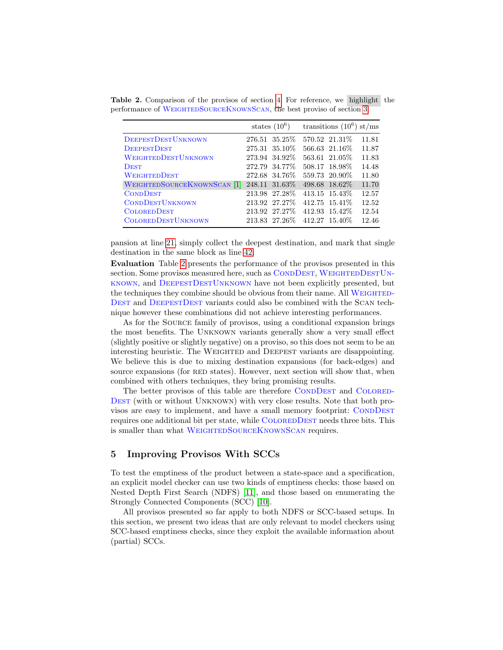|                                        | states $(10^6)$ | transitions $(10^6)$ st/ms |  |  |  |
|----------------------------------------|-----------------|----------------------------|--|--|--|
| <b>DEEPESTDESTUNKNOWN</b>              | 276.51 35.25\%  | 570.52 21.31\%<br>11.81    |  |  |  |
| <b>DEEPESTDEST</b>                     | 275.31 35.10\%  | 566.63 21.16\%<br>11.87    |  |  |  |
| WEIGHTEDDESTUNKNOWN                    | 273.94 34.92\%  | 563.61 21.05\%<br>11.83    |  |  |  |
| <b>DEST</b>                            | 272.79 34.77%   | 508.17 18.98%<br>14.48     |  |  |  |
| <b>WEIGHTEDDEST</b>                    | 272.68 34.76%   | 559.73 20.90%<br>11.80     |  |  |  |
| WEIGHTEDSOURCEKNOWNSCAN <sup>[1]</sup> | 248.11 31.63%   | 11.70<br>498.68 18.62%     |  |  |  |
| <b>CONDDEST</b>                        | 213.98 27.28%   | 12.57<br>413.15 15.43\%    |  |  |  |
| <b>CONDDESTUNKNOWN</b>                 | 213.92 27.27%   | 412.75 15.41\%<br>12.52    |  |  |  |
| <b>COLOREDDEST</b>                     | 213.92 27.27%   | 412.93 15.42\%<br>12.54    |  |  |  |
| <b>COLOREDDESTUNKNOWN</b>              | 213.83 27.26%   | 412.27 15.40\%<br>12.46    |  |  |  |

<span id="page-11-1"></span>Table 2. Comparison of the provisos of section [4.](#page-7-0) For reference, we highlight the performance of WEIGHTEDSOURCEKNOWNSCAN, the best proviso of section [3.](#page-1-1)

pansion at line [21,](#page-10-2) simply collect the deepest destination, and mark that single destination in the same block as line [42.](#page-10-5)

Evaluation Table [2](#page-11-1) presents the performance of the provisos presented in this section. Some provisos measured here, such as CONDDEST, WEIGHTEDDESTUNknown, and DeepestDestUnknown have not been explicitly presented, but the techniques they combine should be obvious from their name. All WEIGHTED-DEST and DEEPESTDEST variants could also be combined with the SCAN technique however these combinations did not achieve interesting performances.

As for the Source family of provisos, using a conditional expansion brings the most benefits. The Unknown variants generally show a very small effect (slightly positive or slightly negative) on a proviso, so this does not seem to be an interesting heuristic. The WEIGHTED and DEEPEST variants are disappointing. We believe this is due to mixing destination expansions (for back-edges) and source expansions (for RED states). However, next section will show that, when combined with others techniques, they bring promising results.

The better provisos of this table are therefore CONDDEST and COLORED-DEST (with or without UNKNOWN) with very close results. Note that both provisos are easy to implement, and have a small memory footprint: CONDDEST requires one additional bit per state, while COLOREDDEST needs three bits. This is smaller than what WEIGHTEDSOURCEKNOWNSCAN requires.

## <span id="page-11-0"></span>5 Improving Provisos With SCCs

To test the emptiness of the product between a state-space and a specification, an explicit model checker can use two kinds of emptiness checks: those based on Nested Depth First Search (NDFS) [\[11\]](#page-15-9), and those based on enumerating the Strongly Connected Components (SCC) [\[10\]](#page-15-10).

All provisos presented so far apply to both NDFS or SCC-based setups. In this section, we present two ideas that are only relevant to model checkers using SCC-based emptiness checks, since they exploit the available information about (partial) SCCs.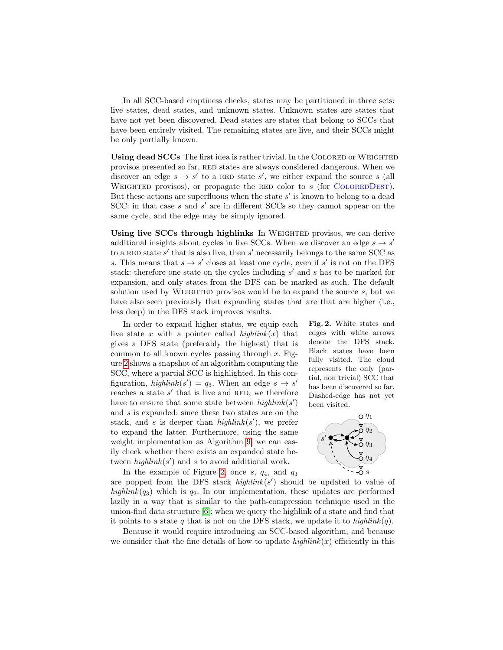In all SCC-based emptiness checks, states may be partitioned in three sets: live states, dead states, and unknown states. Unknown states are states that have not yet been discovered. Dead states are states that belong to SCCs that have been entirely visited. The remaining states are live, and their SCCs might be only partially known.

Using dead SCCs The first idea is rather trivial. In the COLORED or WEIGHTED provisos presented so far, red states are always considered dangerous. When we discover an edge  $s \to s'$  to a RED state s', we either expand the source s (all WEIGHTED provisos), or propagate the RED color to  $s$  (for COLOREDDEST). But these actions are superfluous when the state  $s'$  is known to belong to a dead SCC: in that case  $s$  and  $s'$  are in different SCCs so they cannot appear on the same cycle, and the edge may be simply ignored.

Using live SCCs through highlinks In WEIGHTED provisos, we can derive additional insights about cycles in live SCCs. When we discover an edge  $s \to s'$ to a RED state  $s'$  that is also live, then s' necessarily belongs to the same SCC as s. This means that  $s \to s'$  closes at least one cycle, even if s' is not on the DFS stack: therefore one state on the cycles including  $s'$  and s has to be marked for expansion, and only states from the DFS can be marked as such. The default solution used by WEIGHTED provisos would be to expand the source  $s$ , but we have also seen previously that expanding states that are that are higher (i.e., less deep) in the DFS stack improves results.

In order to expand higher states, we equip each live state x with a pointer called  $highlink(x)$  that gives a DFS state (preferably the highest) that is common to all known cycles passing through  $x$ . Figure [2](#page-12-0) shows a snapshot of an algorithm computing the SCC, where a partial SCC is highlighted. In this configuration,  $highlink(s') = q_3$ . When an edge  $s \rightarrow s'$ reaches a state  $s'$  that is live and RED, we therefore have to ensure that some state between  $highlink(s')$ and s is expanded: since these two states are on the stack, and s is deeper than  $highlink(s')$ , we prefer to expand the latter. Furthermore, using the same weight implementation as Algorithm [9,](#page-10-0) we can easily check whether there exists an expanded state between  $highlink(s')$  and s to avoid additional work.

<span id="page-12-0"></span>Fig. 2. White states and edges with white arrows denote the DFS stack. Black states have been fully visited. The cloud represents the only (partial, non trivial) SCC that has been discovered so far. Dashed-edge has not yet been visited.



In the example of Figure [2,](#page-12-0) once  $s$ ,  $q_4$ , and  $q_3$ are popped from the DFS stack  $highlink(s')$  should be updated to value of  $highlink(q_3)$  which is  $q_2$ . In our implementation, these updates are performed lazily in a way that is similar to the path-compression technique used in the union-find data structure [\[6\]](#page-15-11): when we query the highlink of a state and find that it points to a state q that is not on the DFS stack, we update it to  $highlink(q)$ .

Because it would require introducing an SCC-based algorithm, and because we consider that the fine details of how to update  $highlink(x)$  efficiently in this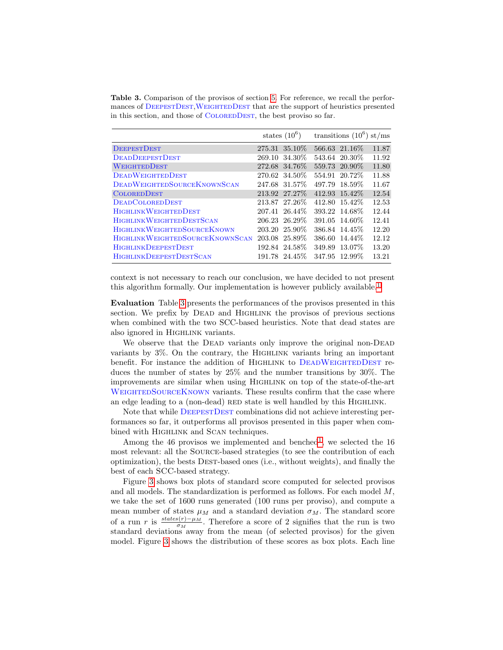<span id="page-13-0"></span>Table 3. Comparison of the provisos of section [5.](#page-11-0) For reference, we recall the performances of DEEPESTDEST, WEIGHTEDDEST that are the support of heuristics presented in this section, and those of COLOREDDEST, the best proviso so far.

|                                        | states $(10^6)$ |                | transitions $(10^6)$ st/ms |                |       |  |
|----------------------------------------|-----------------|----------------|----------------------------|----------------|-------|--|
| <b>DEEPESTDEST</b>                     | 275.31          | $35.10\%$      |                            | 566.63 21.16\% | 11.87 |  |
| <b>DEADDEEPESTDEST</b>                 | 269.10          | 34.30\%        |                            | 543.64 20.30\% | 11.92 |  |
| <b>WEIGHTEDDEST</b>                    | 272.68          | 34.76\%        |                            | 559.73 20.90%  | 11.80 |  |
| <b>DEADWEIGHTEDDEST</b>                |                 | 270.62 34.50\% | 554.91                     | 20.72\%        | 11.88 |  |
| <b>DEADWEIGHTEDSOURCEKNOWNSCAN</b>     |                 | 247.68 31.57%  |                            | 497.79 18.59%  | 11.67 |  |
| <b>COLOREDDEST</b>                     |                 | 213.92 27.27\% |                            | 412.93 15.42\% | 12.54 |  |
| <b>DEADCOLOREDDEST</b>                 |                 | 213.87 27.26\% |                            | 412.80 15.42\% | 12.53 |  |
| <b>HIGHLINKWEIGHTEDDEST</b>            |                 | 207.41 26.44\% |                            | 393.22 14.68%  | 12.44 |  |
| <b>HIGHLINKWEIGHTEDDESTSCAN</b>        |                 | 206.23 26.29%  |                            | 391.05 14.60\% | 12.41 |  |
| <b>HIGHLINKWEIGHTEDSOURCEKNOWN</b>     |                 | 203.20 25.90%  |                            | 386.84 14.45\% | 12.20 |  |
| <b>HIGHLINKWEIGHTEDSOURCEKNOWNSCAN</b> |                 | 203.08 25.89\% |                            | 386.60 14.44\% | 12.12 |  |
| <b>HIGHLINK DEEPEST DEST</b>           |                 | 192.84 24.58%  |                            | 349.89 13.07\% | 13.20 |  |
| <b>HIGHLINKDEEPESTDESTSCAN</b>         |                 | 191.78 24.45\% |                            | 347.95 12.99%  | 13.21 |  |

context is not necessary to reach our conclusion, we have decided to not present this algorithm formally. Our implementation is however publicly available.<sup>[1](#page-0-0)</sup>

Evaluation Table [3](#page-13-0) presents the performances of the provisos presented in this section. We prefix by DEAD and HIGHLINK the provisos of previous sections when combined with the two SCC-based heuristics. Note that dead states are also ignored in Highlink variants.

We observe that the DEAD variants only improve the original non-DEAD variants by 3%. On the contrary, the Highlink variants bring an important benefit. For instance the addition of HIGHLINK to DEADWEIGHTEDDEST reduces the number of states by 25% and the number transitions by 30%. The improvements are similar when using Highlink on top of the state-of-the-art WEIGHTEDSOURCEKNOWN variants. These results confirm that the case where an edge leading to a (non-dead) RED state is well handled by this HIGHLINK.

Note that while DeepestDest combinations did not achieve interesting performances so far, it outperforms all provisos presented in this paper when combined with HIGHLINK and SCAN techniques.

Among the 46 provisos we implemented and benched<sup>[1](#page-0-0)</sup>, we selected the 16 most relevant: all the Source-based strategies (to see the contribution of each optimization), the bests Dest-based ones (i.e., without weights), and finally the best of each SCC-based strategy.

Figure [3](#page-14-0) shows box plots of standard score computed for selected provisos and all models. The standardization is performed as follows. For each model M, we take the set of 1600 runs generated (100 runs per proviso), and compute a mean number of states  $\mu_M$  and a standard deviation  $\sigma_M$ . The standard score of a run r is  $\frac{states(r)-\mu_M}{\sigma_M}$ . Therefore a score of 2 signifies that the run is two standard deviations away from the mean (of selected provisos) for the given model. Figure [3](#page-14-0) shows the distribution of these scores as box plots. Each line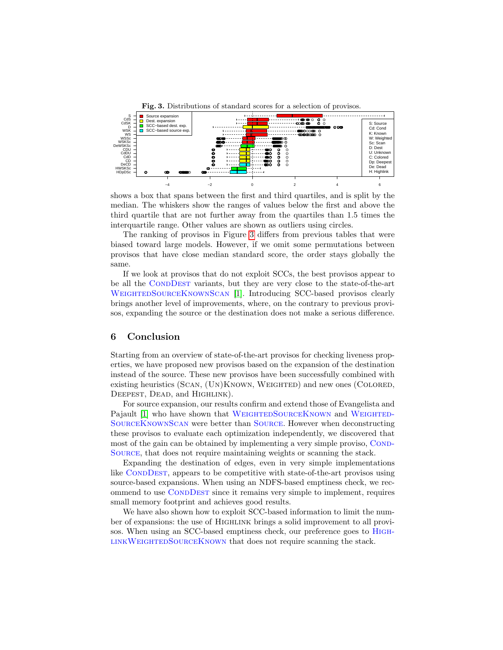<span id="page-14-0"></span>

shows a box that spans between the first and third quartiles, and is split by the median. The whiskers show the ranges of values below the first and above the third quartile that are not further away from the quartiles than 1.5 times the interquartile range. Other values are shown as outliers using circles.

The ranking of provisos in Figure [3](#page-14-0) differs from previous tables that were biased toward large models. However, if we omit some permutations between provisos that have close median standard score, the order stays globally the same.

If we look at provisos that do not exploit SCCs, the best provisos appear to be all the CONDDEST variants, but they are very close to the state-of-the-art WEIGHTEDSOURCEKNOWNSCAN [\[1\]](#page-15-3). Introducing SCC-based provisos clearly brings another level of improvements, where, on the contrary to previous provisos, expanding the source or the destination does not make a serious difference.

### 6 Conclusion

Starting from an overview of state-of-the-art provisos for checking liveness properties, we have proposed new provisos based on the expansion of the destination instead of the source. These new provisos have been successfully combined with existing heuristics (SCAN, (UN)KNOWN, WEIGHTED) and new ones (COLORED, DEEPEST, DEAD, and HIGHLINK).

For source expansion, our results confirm and extend those of Evangelista and Pajault [\[1\]](#page-15-3) who have shown that WEIGHTEDSOURCEKNOWN and WEIGHTED-SourceKnownScan were better than Source. However when deconstructing these provisos to evaluate each optimization independently, we discovered that most of the gain can be obtained by implementing a very simple proviso, COND-Source, that does not require maintaining weights or scanning the stack.

Expanding the destination of edges, even in very simple implementations like CONDDEST, appears to be competitive with state-of-the-art provisos using source-based expansions. When using an NDFS-based emptiness check, we recommend to use CONDDEST since it remains very simple to implement, requires small memory footprint and achieves good results.

We have also shown how to exploit SCC-based information to limit the number of expansions: the use of Highlink brings a solid improvement to all provisos. When using an SCC-based emptiness check, our preference goes to High-LINKWEIGHTEDSOURCEKNOWN that does not require scanning the stack.